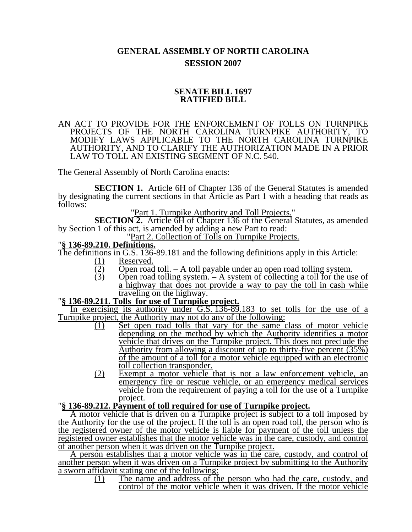## **GENERAL ASSEMBLY OF NORTH CAROLINA SESSION 2007**

## **SENATE BILL 1697 RATIFIED BILL**

### AN ACT TO PROVIDE FOR THE ENFORCEMENT OF TOLLS ON TURNPIKE PROJECTS OF THE NORTH CAROLINA TURNPIKE AUTHORITY, TO MODIFY LAWS APPLICABLE TO THE NORTH CAROLINA TURNPIKE AUTHORITY, AND TO CLARIFY THE AUTHORIZATION MADE IN A PRIOR LAW TO TOLL AN EXISTING SEGMENT OF N.C. 540.

The General Assembly of North Carolina enacts:

**SECTION 1.** Article 6H of Chapter 136 of the General Statutes is amended by designating the current sections in that Article as Part 1 with a heading that reads as follows:

"Part 1. Turnpike Authority and Toll Projects."

**SECTION 2.** Article 6H of Chapter 136 of the General Statutes, as amended by Section 1 of this act, is amended by adding a new Part to read:<br>"Part 2. Collection of Tolls on Turnpike Projects.

"Part 2. Collection of Tolls on Turnpike Projects. "**§ 136-89.210. Definitions.**

The definitions in G.S. 136-89.181 and the following definitions apply in this Article:

- - $\frac{(1)}{(2)}$  Reserved.<br>
	Open road toll. A toll payable under an open road tolling system.<br>
	Open road tolling system. A system of collecting a toll for the us
	- $\overline{Open}$  road tolling system.  $\overline{-A}$  system of collecting a toll for the use of a highway that does not provide a way to pay the toll in cash while traveling on the highway.

# traveling on the highway. "**§ 136-89.211. Tolls for use of Turnpike project.**

In exercising its authority under G.S. 136-89.183 to set tolls for the use of a Turnpike project, the Authority may not do any of the following:

- (1) Set open road tolls that vary for the same class of motor vehicle depending on the method by which the Authority identifies a motor vehicle that drives on the Turnpike project. This does not preclude the Authority from allowing a discount of up to thirty-five percent (35%) of the amount of a toll for a motor vehicle equipped with an electronic toll collection transponder.
- (2) Exempt a motor vehicle that is not a law enforcement vehicle, an emergency fire or rescue vehicle, or an emergency medical services vehicle from the requirement of paying a toll for the use of a Turnpike

# project. "**§ 136-89.212. Payment of toll required for use of Turnpike project.**

A motor vehicle that is driven on a Turnpike project is subject to a toll imposed by the Authority for the use of the project. If the toll is an open road toll, the person who is the registered owner of the motor vehicle is liable for payment of the toll unless the registered owner establishes that the motor vehicle was in the care, custody, and control of another person when it was driven on the Turnpike project.

A person establishes that a motor vehicle was in the care, custody, and control of another person when it was driven on a Turnpike project by submitting to the Authority a sworn affidavit stating one of the following:

(1) The name and address of the person who had the care, custody, and control of the motor vehicle when it was driven. If the motor vehicle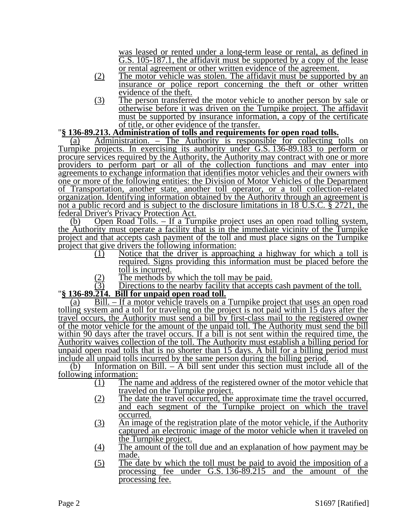was leased or rented under a long-term lease or rental, as defined in G.S. 105-187.1, the affidavit must be supported by a copy of the lease or rental agreement or other written evidence of the agreement.

- (2) The motor vehicle was stolen. The affidavit must be supported by an insurance or police report concerning the theft or other written evidence of the theft.
- (3) The person transferred the motor vehicle to another person by sale or otherwise before it was driven on the Turnpike project. The affidavit must be supported by insurance information, a copy of the certificate of title, or other evidence of the transfer.

**Secuide 136-89.213. Administration of tolls and requirements for open road tolls.**<br>
<u>(a) Administration. – The Authority is responsible for collecting tolls on</u> Turnpike projects. In exercising its authority under G.S. 136-89.183 to perform or procure services required by the Authority, the Authority may contract with one or more providers to perform part or all of the collection functions and may enter into agreements to exchange information that identifies motor vehicles and their owners with one or more of the following entities: the Division of Motor Vehicles of the Department of Transportation, another state, another toll operator, or a toll collection-related organization. Identifying information obtained by the Authority through an agreement is not a public record and is subject to the disclosure limitations in  $\overline{18}$  U.S.C. § 2721, the federal Driver's Privacy Protection Act.

(b) Open Road Tolls. – If a Turnpike project uses an open road tolling system, the Authority must operate a facility that is in the immediate vicinity of the Turnpike project and that accepts cash payment of the toll and must place signs on the Turnpike project that give drivers the following information:

- (1) Notice that the driver is approaching a highway for which a toll is required. Signs providing this information must be placed before the toll is incurred.
- $\frac{12}{13}$  The methods by which the toll may be paid.<br>The methods by which the toll may be paid.

# (3) Directions to the nearby facility that accepts cash payment of the toll. "**§ 136-89.214. Bill for unpaid open road toll.**

(a) Bill. – If a motor vehicle travels on a Turnpike project that uses an open road tolling system and a toll for traveling on the project is not paid within 15 days after the travel occurs, the Authority must send a bill by first-class mail to the registered owner of the motor vehicle for the amount of the unpaid toll. The Authority must send the bill within 90 days after the travel occurs. If a bill is not sent within the required time, the Authority waives collection of the toll. The Authority must establish a billing period for unpaid open road tolls that is no shorter than 15 days. A bill for a billing period must include all unpaid tolls incurred by the same person during the billing period.

(b) Information on Bill. – A bill sent under this section must include all of the following information:

- (1) The name and address of the registered owner of the motor vehicle that traveled on the Turnpike project.
- (2) The date the travel occurred, the approximate time the travel occurred, and each segment of the Turnpike project on which the travel occurred.
- (3) An image of the registration plate of the motor vehicle, if the Authority captured an electronic image of the motor vehicle when it traveled on the Turnpike project.
- (4) The amount of the toll due and an explanation of how payment may be made.
- (5) The date by which the toll must be paid to avoid the imposition of a processing fee under G.S. 136-89.215 and the amount of the processing fee.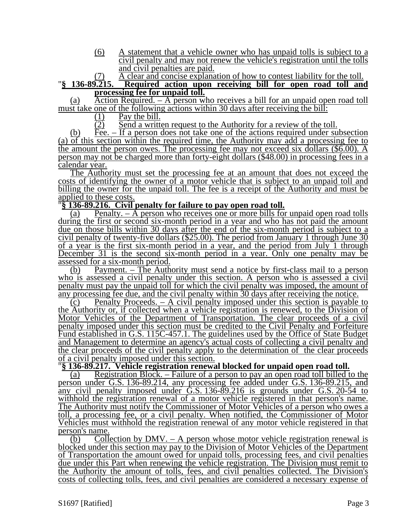(6) A statement that a vehicle owner who has unpaid tolls is subject to a civil penalty and may not renew the vehicle's registration until the tolls and civil penalties are paid.

## (7) A clear and concise explanation of how to contest liability for the toll. "**§ 136-89.215. Required action upon receiving bill for open road toll and processing fee for unpaid toll.**

(a) Action Required. – A person who receives a bill for an unpaid open road toll must take one of the following actions within 30 days after receiving the bill:

- (1) Pay the bill.
- (2) Send a written request to the Authority for a review of the toll.

(b) Fee. – If a person does not take one of the actions required under subsection (a) of this section within the required time, the Authority may add a processing fee to the amount the person owes. The processing fee may not exceed six dollars  $(\$6.00)$ . A person may not be charged more than forty-eight dollars (\$48.00) in processing fees in a calendar year.

The Authority must set the processing fee at an amount that does not exceed the costs of identifying the owner of a motor vehicle that is subject to an unpaid toll and billing the owner for the unpaid toll. The fee is a receipt of the Authority and must be applied to these costs.

## "**§ 136-89.216. Civil penalty for failure to pay open road toll.**

(a) Penalty.  $-\overline{A}$  person who receives one or more bills for unpaid open road tolls during the first or second six-month period in a year and who has not paid the amount<br>due on those bills within 30 days after the end of the six-month period is subject to a civil penalty of twenty-five dollars (\$25.00). The period from January 1 through June  $30$ of a year is the first six-month period in a year, and the period from July 1 through December 31 is the second six-month period in a year. Only one penalty may be assessed for a six-month period.

(b) Payment. – The Authority must send a notice by first-class mail to a person who is assessed a civil penalty under this section. A person who is assessed a civil penalty must pay the unpaid toll for which the civil penalty was imposed, the amount of any processing fee due, and the civil penalty within 30 days after receiving the notice.

 $(c)$  Penalty Proceeds. – A civil penalty imposed under this section is payable to the Authority or, if collected when a vehicle registration is renewed, to the Division of Motor Vehicles of the Department of Transportation. The clear proceeds of a civil penalty imposed under this section must be credited to the Civil Penalty and Forfeiture Fund established in G.S. 115C-457.1. The guidelines used by the Office of State Budget and Management to determine an agency's actual costs of collecting a civil penalty and the clear proceeds of the civil penalty apply to the determination  $\overrightarrow{of}$  the clear proceeds of a civil penalty imposed under this section.

## "**§ 136-89.217. Vehicle registration renewal blocked for unpaid open road toll.**

(a) Registration Block. – Failure of a person to pay an open road toll billed to the person under G.S. 136-89.214, any processing fee added under G.S. 136-89.215, and any civil penalty imposed under G.S. 136-89.216 is grounds under G.S. 20-54 to withhold the registration renewal of a motor vehicle registered in that person's name. The Authority must notify the Commissioner of Motor Vehicles of a person who owes a toll, a processing fee, or a civil penalty. When notified, the Commissioner of Motor Vehicles must withhold the registration renewal of any motor vehicle registered in that person's name.

(b) Collection by DMV. – A person whose motor vehicle registration renewal is blocked under this section may pay to the Division of Motor Vehicles of the Department of Transportation the amount owed for unpaid tolls, processing fees, and civil penalties due under this Part when renewing the vehicle registration. The Division must remit to the Authority the amount of tolls, fees, and civil penalties collected. The Division's costs of collecting tolls, fees, and civil penalties are considered a necessary expense of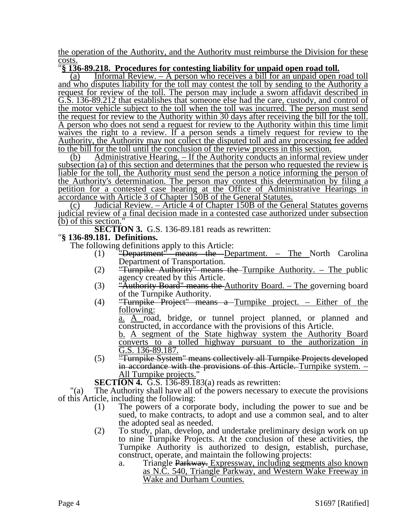the operation of the Authority, and the Authority must reimburse the Division for these costs.

## $\overline{$}$  136-89.218. Procedures for contesting liability for unpaid open road toll.

(a) Informal Review. – A person who receives a bill for an unpaid open road toll and who disputes liability for the toll may contest the toll by sending to the Authority a request for review of the toll. The person may include a sworn affidavit described in G.S. 136-89.212 that establishes that someone else had the care, custody, and control of the motor vehicle subject to the toll when the toll was incurred. The person must send the request for review to the Authority within 30 days after receiving the bill for the toll. A person who does not send a request for review to the Authority within this time limit waives the right to a review. If a person sends a timely request for review to the Authority, the Authority may not collect the disputed toll and any processing fee added to the bill for the toll until the conclusion of the review process in this section.

(b) Administrative Hearing. – If the Authority conducts an informal review under subsection (a) of this section and determines that the person who requested the review is liable for the toll, the Authority must send the person a notice informing the person of the Authority's determination. The person may contest this determination by filing a petition for a contested case hearing at the Office of Administrative Hearings in accordance with Article 3 of Chapter 150B of the General Statutes.

(c) Judicial Review. – Article 4 of Chapter 150B of the General Statutes governs judicial review of a final decision made in a contested case authorized under subsection (b) of this section."

**SECTION 3.** G.S. 136-89.181 reads as rewritten: "**§ 136-89.181. Definitions.** 

The following definitions apply to this Article:

- (1) "Department" means the Department. The North Carolina Department of Transportation.
- (2)  $\frac{1}{2}$  Turnpike Authority<sup>"</sup> means the Turnpike Authority. The public agency created by this Article.
- (3) "Authority Board" means the Authority Board. The governing board of the Turnpike Authority.
- (4) "Turnpike Project" means a Turnpike project. Either of the following:

a. A road, bridge, or tunnel project planned, or planned and constructed, in accordance with the provisions of this Article.

b. A segment of the State highway system the Authority Board converts to a tolled highway pursuant to the authorization in G.S. 136-89.187.

(5) "Turnpike System" means collectively all Turnpike Projects developed in accordance with the provisions of this Article. Turnpike system. – All Turnpike projects."

**SECTION 4.** G.S. 136-89.183(a) reads as rewritten:

"(a) The Authority shall have all of the powers necessary to execute the provisions of this Article, including the following:

- (1) The powers of a corporate body, including the power to sue and be sued, to make contracts, to adopt and use a common seal, and to alter the adopted seal as needed.
- (2) To study, plan, develop, and undertake preliminary design work on up to nine Turnpike Projects. At the conclusion of these activities, the Turnpike Authority is authorized to design, establish, purchase, construct, operate, and maintain the following projects:
	- a. Triangle Parkway. Expressway, including segments also known as N.C. 540, Triangle Parkway, and Western Wake Freeway in Wake and Durham Counties.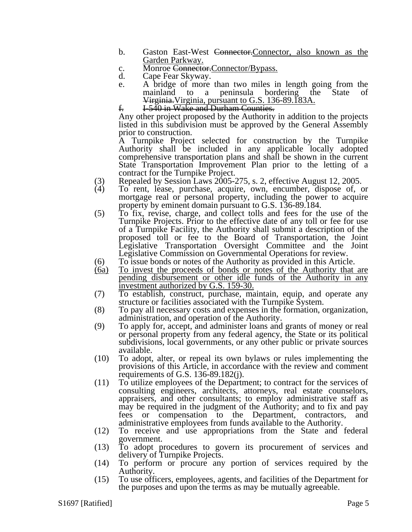- b. Gaston East-West Connector.Connector, also known as the Garden Parkway.
- c. Monroe Connector.Connector/Bypass.
- d. Cape Fear Skyway.
- e. A bridge of more than two miles in length going from the mainland to a peninsula bordering the State of Virginia.Virginia, pursuant to G.S. 136-89.183A.
- f. I-540 in Wake and Durham Counties.

Any other project proposed by the Authority in addition to the projects listed in this subdivision must be approved by the General Assembly prior to construction.

A Turnpike Project selected for construction by the Turnpike Authority shall be included in any applicable locally adopted comprehensive transportation plans and shall be shown in the current State Transportation Improvement Plan prior to the letting of a contract for the Turnpike Project.

- (3) Repealed by Session Laws  $2005-275$ , s. 2, effective August 12, 2005.<br>(4) To rent, lease, purchase, acquire, own, encumber, dispose of, o
- (4) To rent, lease, purchase, acquire, own, encumber, dispose of, or mortgage real or personal property, including the power to acquire property by eminent domain pursuant to G.S. 136-89.184.
- (5) To fix, revise, charge, and collect tolls and fees for the use of the Turnpike Projects. Prior to the effective date of any toll or fee for use of a Turnpike Facility, the Authority shall submit a description of the proposed toll or fee to the Board of Transportation, the Joint Legislative Transportation Oversight Committee and the Joint Legislative Commission on Governmental Operations for review.
- (6) To issue bonds or notes of the Authority as provided in this Article.
- (6a) To invest the proceeds of bonds or notes of the Authority that are pending disbursement or other idle funds of the Authority in any investment authorized by G.S. 159-30.
- (7) To establish, construct, purchase, maintain, equip, and operate any structure or facilities associated with the Turnpike System.
- (8) To pay all necessary costs and expenses in the formation, organization, administration, and operation of the Authority.
- (9) To apply for, accept, and administer loans and grants of money or real or personal property from any federal agency, the State or its political subdivisions, local governments, or any other public or private sources available.
- (10) To adopt, alter, or repeal its own bylaws or rules implementing the provisions of this Article, in accordance with the review and comment requirements of G.S. 136-89.182(j).
- (11) To utilize employees of the Department; to contract for the services of consulting engineers, architects, attorneys, real estate counselors, appraisers, and other consultants; to employ administrative staff as may be required in the judgment of the Authority; and to fix and pay fees or compensation to the Department, contractors, and administrative employees from funds available to the Authority.
- (12) To receive and use appropriations from the State and federal government.
- (13) To adopt procedures to govern its procurement of services and delivery of Turnpike Projects.
- (14) To perform or procure any portion of services required by the Authority.
- (15) To use officers, employees, agents, and facilities of the Department for the purposes and upon the terms as may be mutually agreeable.

S1697 [Ratified] Page 5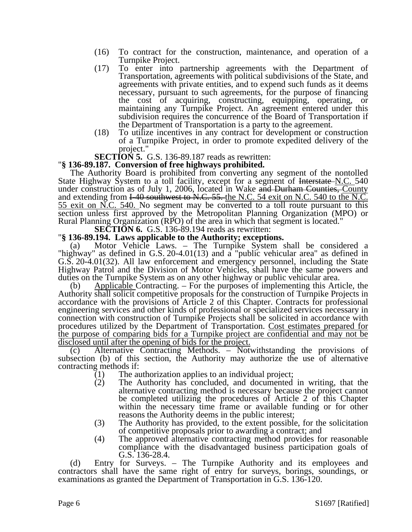- (16) To contract for the construction, maintenance, and operation of a Turnpike Project.
- (17) To enter into partnership agreements with the Department of Transportation, agreements with political subdivisions of the State, and agreements with private entities, and to expend such funds as it deems necessary, pursuant to such agreements, for the purpose of financing the cost of acquiring, constructing, equipping, operating, or maintaining any Turnpike Project. An agreement entered under this subdivision requires the concurrence of the Board of Transportation if the Department of Transportation is a party to the agreement.
- (18) To utilize incentives in any contract for development or construction of a Turnpike Project, in order to promote expedited delivery of the

project."<br>**SECTION 5.** G.S. 136-89.187 reads as rewritten:

## **Section 5.136-89.187. Conversion of free highways prohibited.**

The Authority Board is prohibited from converting any segment of the nontolled State Highway System to a toll facility, except for a segment of Interstate N.C. 540 under construction as of July 1, 2006, located in Wake and Durham Counties, County and extending from I-40 southwest to N.C. 55. the N.C. 54 exit on N.C. 540 to the N.C. 55 exit on N.C. 540. No segment may be converted to a toll route pursuant to this section unless first approved by the Metropolitan Planning Organization (MPO) or Rural Planning Organization (RPO) of the area in which that segment is located."<br>**SECTION 6.** G.S. 136-89.194 reads as rewritten:

## **SECTION 6.** SECTION 6. G.S. 136-89.194. Laws applicable to the Authority; exceptions.

(a) Motor Vehicle Laws. – The Turnpike System shall be considered a "highway" as defined in G.S. 20-4.01(13) and a "public vehicular area" as defined in G.S. 20-4.01(32). All law enforcement and emergency personnel, including the State Highway Patrol and the Division of Motor Vehicles, shall have the same powers and duties on the Turnpike System as on any other highway or public vehicular area.

(b) Applicable Contracting. – For the purposes of implementing this Article, the Authority shall solicit competitive proposals for the construction of Turnpike Projects in accordance with the provisions of Article 2 of this Chapter. Contracts for professional engineering services and other kinds of professional or specialized services necessary in connection with construction of Turnpike Projects shall be solicited in accordance with procedures utilized by the Department of Transportation. Cost estimates prepared for the purpose of comparing bids for a Turnpike project are confidential and may not be

disclosed until after the opening of bids for the project.<br>
(c) Alternative Contracting Methods. – Notwithstanding the provisions of subsection (b) of this section, the Authority may authorize the use of alternative contracting methods if:

- (1) The authorization applies to an individual project;
- (2) The Authority has concluded, and documented in writing, that the alternative contracting method is necessary because the project cannot be completed utilizing the procedures of Article 2 of this Chapter within the necessary time frame or available funding or for other reasons the Authority deems in the public interest;
- (3) The Authority has provided, to the extent possible, for the solicitation of competitive proposals prior to awarding a contract; and
- (4) The approved alternative contracting method provides for reasonable compliance with the disadvantaged business participation goals of G.S. 136-28.4.

(d) Entry for Surveys. – The Turnpike Authority and its employees and contractors shall have the same right of entry for surveys, borings, soundings, or examinations as granted the Department of Transportation in G.S. 136-120.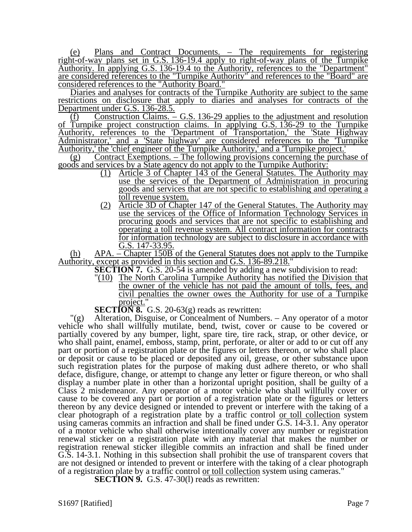(e) Plans and Contract Documents. – The requirements for registering right-of-way plans set in G.S. 136-19.4 apply to right-of-way plans of the Turnpike Authority. In applying G.S. 136-19.4 to the Authority, references to the "Department" are considered references to the "Turnpike Authority" and references to the "Board" are considered references to the "Authority Board."

Diaries and analyses for contracts of the Turnpike Authority are subject to the same restrictions on disclosure that apply to diaries and analyses for contracts of the Department under G.S. 136-28.5.

 $(f)$  Construction Claims.  $-$  G.S. 136-29 applies to the adjustment and resolution of Turnpike project construction claims. In applying G.S. 136-29 to the Turnpike Authority, references to the 'Department of Transportation,' the 'State Highway Administrator,' and a 'State highway' are considered references to the 'Turnpike Authority,' the 'chief engineer of the Turnpike Authority,' and a 'Turnpike project.'

 $(g)$  Contract Exemptions. – The following provisions concerning the purchase of goods and services by a State agency do not apply to the Turnpike Authority:

- (1) Article 3 of Chapter 143 of the General Statutes. The Authority may use the services of the Department of Administration in procuring goods and services that are not specific to establishing and operating a
- toll revenue system.<br>
(2) Article 3D of Chapter 147 of the General Statutes. The Authority may use the services of the Office of Information Technology Services in procuring goods and services that are not specific to establishing and operating a toll revenue system. All contract information for contracts for information technology are subject to disclosure in accordance with G.S. 147-33.95.

 $\Delta$  APA. – Chapter 150B of the General Statutes does not apply to the Turnpike Authority, except as provided in this section and G.S. 136-89.218.

**SECTION 7.** G.S. 20-54 is amended by adding a new subdivision to read:

- "(10) The North Carolina Turnpike Authority has notified the Division that the owner of the vehicle has not paid the amount of tolls, fees, and civil penalties the owner owes the Authority for use of a Turnpike project.'
- **SECTION 8.** G.S. 20-63(g) reads as rewritten:

Alteration, Disguise, or Concealment of Numbers. – Any operator of a motor vehicle who shall willfully mutilate, bend, twist, cover or cause to be covered or partially covered by any bumper, light, spare tire, tire rack, strap, or other device, or who shall paint, enamel, emboss, stamp, print, perforate, or alter or add to or cut off any part or portion of a registration plate or the figures or letters thereon, or who shall place or deposit or cause to be placed or deposited any oil, grease, or other substance upon such registration plates for the purpose of making dust adhere thereto, or who shall deface, disfigure, change, or attempt to change any letter or figure thereon, or who shall display a number plate in other than a horizontal upright position, shall be guilty of a Class 2 misdemeanor. Any operator of a motor vehicle who shall willfully cover or cause to be covered any part or portion of a registration plate or the figures or letters thereon by any device designed or intended to prevent or interfere with the taking of a clear photograph of a registration plate by a traffic control or toll collection system using cameras commits an infraction and shall be fined under G.S. 14-3.1. Any operator of a motor vehicle who shall otherwise intentionally cover any number or registration renewal sticker on a registration plate with any material that makes the number or registration renewal sticker illegible commits an infraction and shall be fined under G.S. 14-3.1. Nothing in this subsection shall prohibit the use of transparent covers that are not designed or intended to prevent or interfere with the taking of a clear photograph of a registration plate by a traffic control <u>or toll collection</u> system using cameras."

**SECTION 9.** G.S. 47-30(1) reads as rewritten: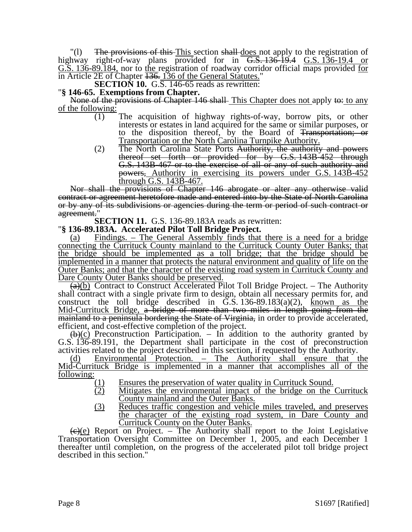"(1) The provisions of this This section shall-does not apply to the registration of highway right-of-way plans provided for in G.S. 136-19.4 S.S. 136-19.4 or G.S. 136-89.184, nor to the registration of roadway corridor official maps provided for in Article 2E of Chapter 136. 136 of the General Statutes.

**SECTION 10.** G.S. 146-65 reads as rewritten: "§ 146-65. Exemptions from Chapter.

None of the provisions of Chapter 146 shall- This Chapter does not apply to: to any of the following:

- $\overline{(1)}$  The acquisition of highway rights-of-way, borrow pits, or other interests or estates in land acquired for the same or similar purposes, or to the disposition thereof, by the Board of Transportation; or Transportation or the North Carolina Turnpike Authority.
- (2) The North Carolina State Ports Authority, the authority and powers thereof set forth or provided for by G.S. 143B-452 through G.S. 143B-467 or to the exercise of all or any of such authority and powers, Authority in exercising its powers under G.S. 143B-452 through G.S. 143B-467.

Nor shall the provisions of Chapter 146 abrogate or alter any otherwise valid contract or agreement heretofore made and entered into by the State of North Carolina or by any of its subdivisions or agencies during the term or period of such contract or agreement."

**SECTION 11.** G.S. 136-89.183A reads as rewritten: "**§ 136-89.183A. Accelerated Pilot Toll Bridge Project.** 

(a) Findings. – The General Assembly finds that there is a need for a bridge connecting the Currituck County mainland to the Currituck County Outer Banks; that the bridge should be implemented as a toll bridge; that the bridge should be implemented in a manner that protects the natural environment and quality of life on the Outer Banks; and that the character of the existing road system in Currituck County and Dare County Outer Banks should be preserved.

 $\left(\frac{a}{b}\right)$  Contract to Construct Accelerated Pilot Toll Bridge Project. – The Authority shall contract with a single private firm to design, obtain all necessary permits for, and construct the toll bridge described in G.S.  $136-89.183(a)(2)$ , known as the Mid-Currituck Bridge, a bridge of more than two miles in length going from the mainland to a peninsula bordering the State of Virginia, in order to provide accelerated, efficient, and cost-effective completion of the project.

 $(\theta)(c)$  Preconstruction Participation. – In addition to the authority granted by G.S. 136-89.191, the Department shall participate in the cost of preconstruction activities related to the project described in this section, if requested by the Authority.

(d) Environmental Protection. – The Authority shall ensure that the Mid-Currituck Bridge is implemented in a manner that accomplishes all of the following:

- (1) Ensures the preservation of water quality in Currituck Sound.
- (2) Mitigates the environmental impact of the bridge on the Currituck
- County mainland and the Outer Banks.<br>(3) Reduces traffic congestion and vehicle miles traveled, and preserves the character of the existing road system, in Dare County and Currituck County on the Outer Banks.

 $\overline{(e)(e)}$  Report on Project. – The Authority shall report to the Joint Legislative Transportation Oversight Committee on December 1, 2005, and each December 1 thereafter until completion, on the progress of the accelerated pilot toll bridge project described in this section."